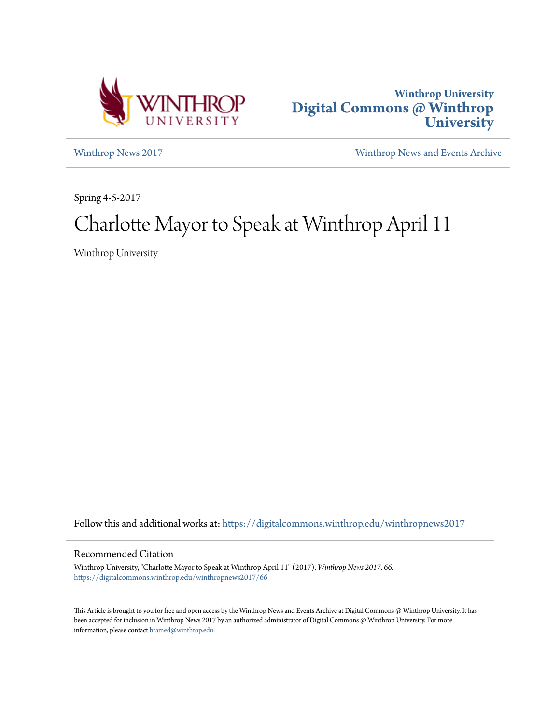



[Winthrop News 2017](https://digitalcommons.winthrop.edu/winthropnews2017?utm_source=digitalcommons.winthrop.edu%2Fwinthropnews2017%2F66&utm_medium=PDF&utm_campaign=PDFCoverPages) [Winthrop News and Events Archive](https://digitalcommons.winthrop.edu/winthropnewsarchives?utm_source=digitalcommons.winthrop.edu%2Fwinthropnews2017%2F66&utm_medium=PDF&utm_campaign=PDFCoverPages)

Spring 4-5-2017

## Charlotte Mayor to Speak at Winthrop April 11

Winthrop University

Follow this and additional works at: [https://digitalcommons.winthrop.edu/winthropnews2017](https://digitalcommons.winthrop.edu/winthropnews2017?utm_source=digitalcommons.winthrop.edu%2Fwinthropnews2017%2F66&utm_medium=PDF&utm_campaign=PDFCoverPages)

## Recommended Citation

Winthrop University, "Charlotte Mayor to Speak at Winthrop April 11" (2017). *Winthrop News 2017*. 66. [https://digitalcommons.winthrop.edu/winthropnews2017/66](https://digitalcommons.winthrop.edu/winthropnews2017/66?utm_source=digitalcommons.winthrop.edu%2Fwinthropnews2017%2F66&utm_medium=PDF&utm_campaign=PDFCoverPages)

This Article is brought to you for free and open access by the Winthrop News and Events Archive at Digital Commons @ Winthrop University. It has been accepted for inclusion in Winthrop News 2017 by an authorized administrator of Digital Commons @ Winthrop University. For more information, please contact [bramed@winthrop.edu](mailto:bramed@winthrop.edu).